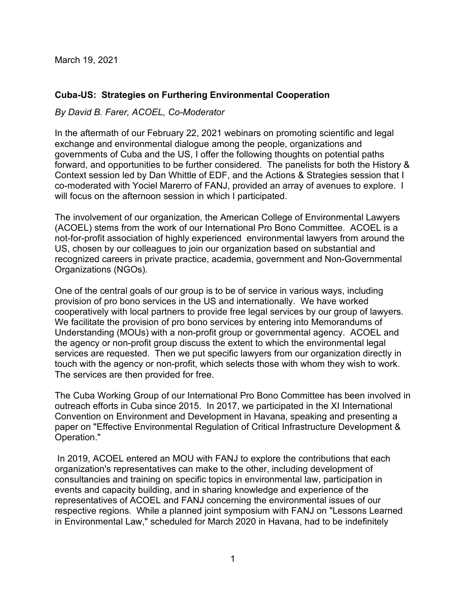March 19, 2021

## **Cuba-US: Strategies on Furthering Environmental Cooperation**

*By David B. Farer, ACOEL, Co-Moderator*

In the aftermath of our February 22, 2021 webinars on promoting scientific and legal exchange and environmental dialogue among the people, organizations and governments of Cuba and the US, I offer the following thoughts on potential paths forward, and opportunities to be further considered. The panelists for both the History & Context session led by Dan Whittle of EDF, and the Actions & Strategies session that I co-moderated with Yociel Marerro of FANJ, provided an array of avenues to explore. I will focus on the afternoon session in which I participated.

The involvement of our organization, the American College of Environmental Lawyers (ACOEL) stems from the work of our International Pro Bono Committee. ACOEL is a not-for-profit association of highly experienced environmental lawyers from around the US, chosen by our colleagues to join our organization based on substantial and recognized careers in private practice, academia, government and Non-Governmental Organizations (NGOs).

One of the central goals of our group is to be of service in various ways, including provision of pro bono services in the US and internationally. We have worked cooperatively with local partners to provide free legal services by our group of lawyers. We facilitate the provision of pro bono services by entering into Memorandums of Understanding (MOUs) with a non-profit group or governmental agency. ACOEL and the agency or non-profit group discuss the extent to which the environmental legal services are requested. Then we put specific lawyers from our organization directly in touch with the agency or non-profit, which selects those with whom they wish to work. The services are then provided for free.

The Cuba Working Group of our International Pro Bono Committee has been involved in outreach efforts in Cuba since 2015. In 2017, we participated in the XI International Convention on Environment and Development in Havana, speaking and presenting a paper on "Effective Environmental Regulation of Critical Infrastructure Development & Operation."

In 2019, ACOEL entered an MOU with FANJ to explore the contributions that each organization's representatives can make to the other, including development of consultancies and training on specific topics in environmental law, participation in events and capacity building, and in sharing knowledge and experience of the representatives of ACOEL and FANJ concerning the environmental issues of our respective regions. While a planned joint symposium with FANJ on "Lessons Learned in Environmental Law," scheduled for March 2020 in Havana, had to be indefinitely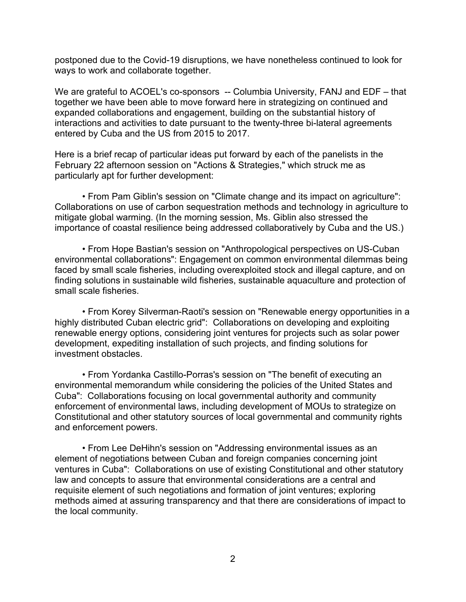postponed due to the Covid-19 disruptions, we have nonetheless continued to look for ways to work and collaborate together.

We are grateful to ACOEL's co-sponsors -- Columbia University, FANJ and EDF – that together we have been able to move forward here in strategizing on continued and expanded collaborations and engagement, building on the substantial history of interactions and activities to date pursuant to the twenty-three bi-lateral agreements entered by Cuba and the US from 2015 to 2017.

Here is a brief recap of particular ideas put forward by each of the panelists in the February 22 afternoon session on "Actions & Strategies," which struck me as particularly apt for further development:

• From Pam Giblin's session on "Climate change and its impact on agriculture": Collaborations on use of carbon sequestration methods and technology in agriculture to mitigate global warming. (In the morning session, Ms. Giblin also stressed the importance of coastal resilience being addressed collaboratively by Cuba and the US.)

• From Hope Bastian's session on "Anthropological perspectives on US-Cuban environmental collaborations": Engagement on common environmental dilemmas being faced by small scale fisheries, including overexploited stock and illegal capture, and on finding solutions in sustainable wild fisheries, sustainable aquaculture and protection of small scale fisheries.

• From Korey Silverman-Raoti's session on "Renewable energy opportunities in a highly distributed Cuban electric grid": Collaborations on developing and exploiting renewable energy options, considering joint ventures for projects such as solar power development, expediting installation of such projects, and finding solutions for investment obstacles.

• From Yordanka Castillo-Porras's session on "The benefit of executing an environmental memorandum while considering the policies of the United States and Cuba": Collaborations focusing on local governmental authority and community enforcement of environmental laws, including development of MOUs to strategize on Constitutional and other statutory sources of local governmental and community rights and enforcement powers.

• From Lee DeHihn's session on "Addressing environmental issues as an element of negotiations between Cuban and foreign companies concerning joint ventures in Cuba": Collaborations on use of existing Constitutional and other statutory law and concepts to assure that environmental considerations are a central and requisite element of such negotiations and formation of joint ventures; exploring methods aimed at assuring transparency and that there are considerations of impact to the local community.